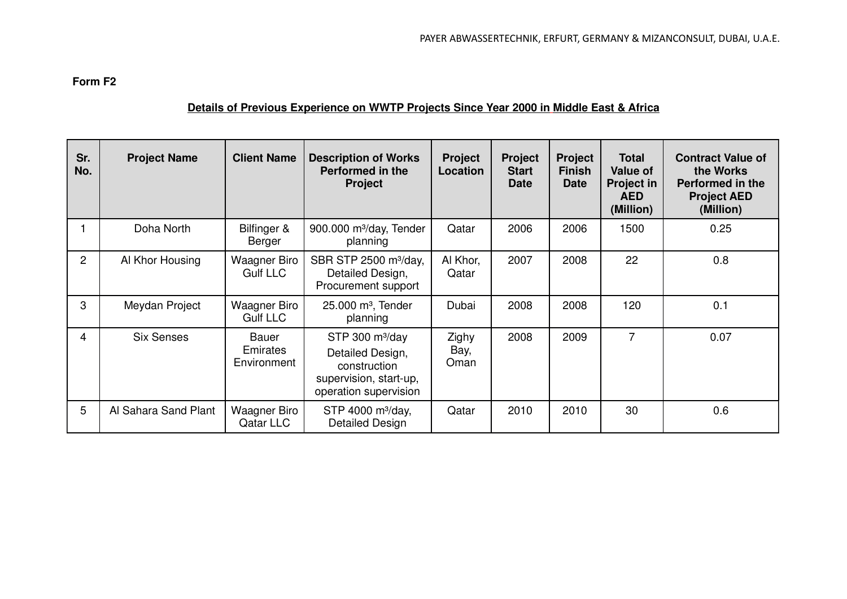## **Form F2**

## **Details of Previous Experience on WWTP Projects Since Year 2000 in Middle East & Africa**

| Sr.<br>No.     | <b>Project Name</b>  | <b>Client Name</b>                     | <b>Description of Works</b><br>Performed in the<br><b>Project</b>                                         | <b>Project</b><br>Location | <b>Project</b><br><b>Start</b><br><b>Date</b> | <b>Project</b><br><b>Finish</b><br><b>Date</b> | <b>Total</b><br><b>Value of</b><br><b>Project in</b><br><b>AED</b><br>(Million) | <b>Contract Value of</b><br>the Works<br>Performed in the<br><b>Project AED</b><br>(Million) |
|----------------|----------------------|----------------------------------------|-----------------------------------------------------------------------------------------------------------|----------------------------|-----------------------------------------------|------------------------------------------------|---------------------------------------------------------------------------------|----------------------------------------------------------------------------------------------|
|                | Doha North           | Bilfinger &<br>Berger                  | 900.000 m <sup>3</sup> /day, Tender<br>planning                                                           | Qatar                      | 2006                                          | 2006                                           | 1500                                                                            | 0.25                                                                                         |
| $\overline{2}$ | Al Khor Housing      | Waagner Biro<br><b>Gulf LLC</b>        | SBR STP 2500 m <sup>3</sup> /day,<br>Detailed Design,<br>Procurement support                              | Al Khor,<br>Qatar          | 2007                                          | 2008                                           | 22                                                                              | 0.8                                                                                          |
| 3              | Meydan Project       | <b>Waagner Biro</b><br><b>Gulf LLC</b> | $25.000$ m <sup>3</sup> , Tender<br>planning                                                              | Dubai                      | 2008                                          | 2008                                           | 120                                                                             | 0.1                                                                                          |
| 4              | <b>Six Senses</b>    | Bauer<br>Emirates<br>Environment       | STP 300 $m^3$ /day<br>Detailed Design,<br>construction<br>supervision, start-up,<br>operation supervision | Zighy<br>Bay,<br>Oman      | 2008                                          | 2009                                           | $\overline{7}$                                                                  | 0.07                                                                                         |
| 5              | Al Sahara Sand Plant | Waagner Biro<br>Qatar LLC              | STP 4000 m <sup>3</sup> /day,<br>Detailed Design                                                          | Qatar                      | 2010                                          | 2010                                           | 30                                                                              | 0.6                                                                                          |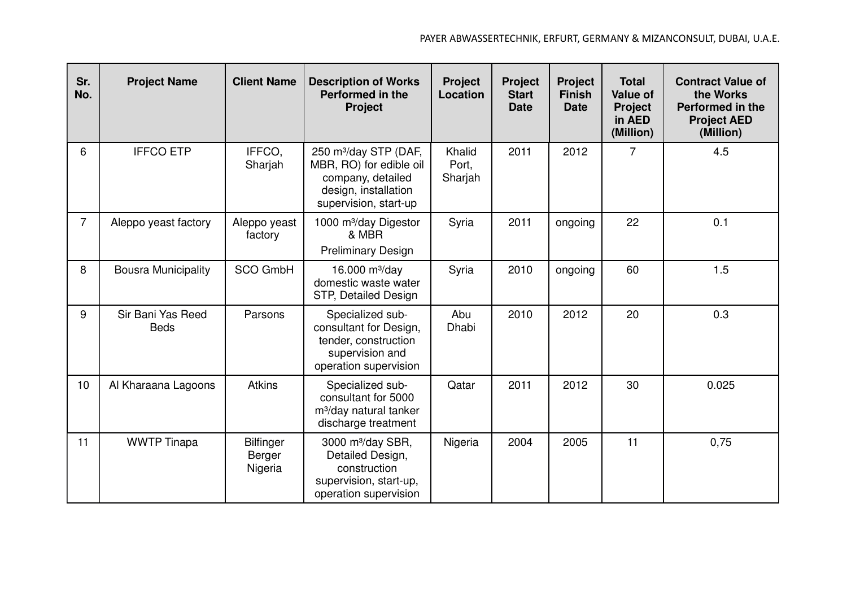| Sr.<br>No.     | <b>Project Name</b>              | <b>Client Name</b>                    | <b>Description of Works</b><br><b>Performed in the</b><br><b>Project</b>                                                           | <b>Project</b><br>Location | <b>Project</b><br><b>Start</b><br><b>Date</b> | <b>Project</b><br><b>Finish</b><br><b>Date</b> | <b>Total</b><br><b>Value of</b><br><b>Project</b><br>in AED<br>(Million) | <b>Contract Value of</b><br>the Works<br><b>Performed in the</b><br><b>Project AED</b><br>(Million) |
|----------------|----------------------------------|---------------------------------------|------------------------------------------------------------------------------------------------------------------------------------|----------------------------|-----------------------------------------------|------------------------------------------------|--------------------------------------------------------------------------|-----------------------------------------------------------------------------------------------------|
| 6              | <b>IFFCO ETP</b>                 | IFFCO,<br>Sharjah                     | 250 m <sup>3</sup> /day STP (DAF,<br>MBR, RO) for edible oil<br>company, detailed<br>design, installation<br>supervision, start-up | Khalid<br>Port,<br>Sharjah | 2011                                          | 2012                                           | $\overline{7}$                                                           | 4.5                                                                                                 |
| $\overline{7}$ | Aleppo yeast factory             | Aleppo yeast<br>factory               | 1000 m <sup>3</sup> /day Digestor<br>& MBR<br><b>Preliminary Design</b>                                                            | Syria                      | 2011                                          | ongoing                                        | 22                                                                       | 0.1                                                                                                 |
| 8              | <b>Bousra Municipality</b>       | <b>SCO GmbH</b>                       | 16.000 $m^3$ /day<br>domestic waste water<br>STP, Detailed Design                                                                  | Syria                      | 2010                                          | ongoing                                        | 60                                                                       | 1.5                                                                                                 |
| 9              | Sir Bani Yas Reed<br><b>Beds</b> | Parsons                               | Specialized sub-<br>consultant for Design,<br>tender, construction<br>supervision and<br>operation supervision                     | Abu<br>Dhabi               | 2010                                          | 2012                                           | 20                                                                       | 0.3                                                                                                 |
| 10             | Al Kharaana Lagoons              | <b>Atkins</b>                         | Specialized sub-<br>consultant for 5000<br>m <sup>3</sup> /day natural tanker<br>discharge treatment                               | Qatar                      | 2011                                          | 2012                                           | 30                                                                       | 0.025                                                                                               |
| 11             | <b>WWTP Tinapa</b>               | <b>Bilfinger</b><br>Berger<br>Nigeria | 3000 m <sup>3</sup> /day SBR,<br>Detailed Design,<br>construction<br>supervision, start-up,<br>operation supervision               | Nigeria                    | 2004                                          | 2005                                           | 11                                                                       | 0,75                                                                                                |